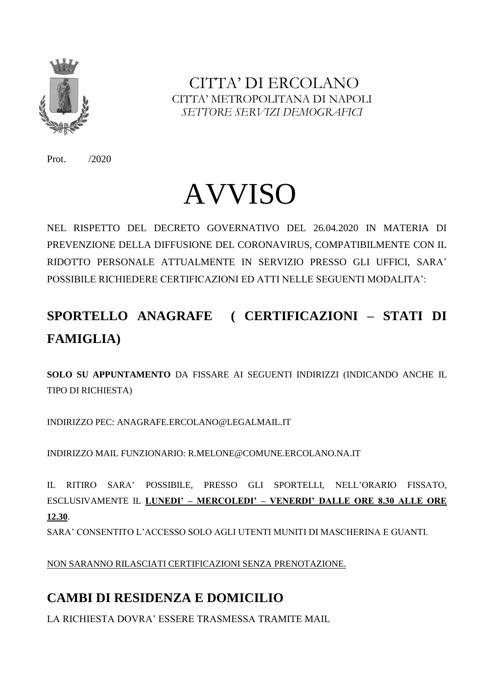

CITTA' DI ERCOLANO CITTA' METROPOLITANA DI NAPOLI  *SETTORE SERVIZI DEMOGRAFICI*

Prot. /2020

# AVVISO

NEL RISPETTO DEL DECRETO GOVERNATIVO DEL 26.04.2020 IN MATERIA DI PREVENZIONE DELLA DIFFUSIONE DEL CORONAVIRUS, COMPATIBILMENTE CON IL RIDOTTO PERSONALE ATTUALMENTE IN SERVIZIO PRESSO GLI UFFICI, SARA' POSSIBILE RICHIEDERE CERTIFICAZIONI ED ATTI NELLE SEGUENTI MODALITA':

# **SPORTELLO ANAGRAFE ( CERTIFICAZIONI – STATI DI FAMIGLIA)**

**SOLO SU APPUNTAMENTO** DA FISSARE AI SEGUENTI INDIRIZZI (INDICANDO ANCHE IL TIPO DI RICHIESTA)

INDIRIZZO PEC: ANAGRAFE.ERCOLANO@LEGALMAIL.IT

INDIRIZZO MAIL FUNZIONARIO: R.MELONE@COMUNE.ERCOLANO.NA.IT

IL RITIRO SARA' POSSIBILE, PRESSO GLI SPORTELLI, NELL'ORARIO FISSATO, ESCLUSIVAMENTE IL **LUNEDI' – MERCOLEDI' – VENERDI' DALLE ORE 8.30 ALLE ORE 12.30**. SARA' CONSENTITO L'ACCESSO SOLO AGLI UTENTI MUNITI DI MASCHERINA E GUANTI.

NON SARANNO RILASCIATI CERTIFICAZIONI SENZA PRENOTAZIONE.

## **CAMBI DI RESIDENZA E DOMICILIO**

LA RICHIESTA DOVRA' ESSERE TRASMESSA TRAMITE MAIL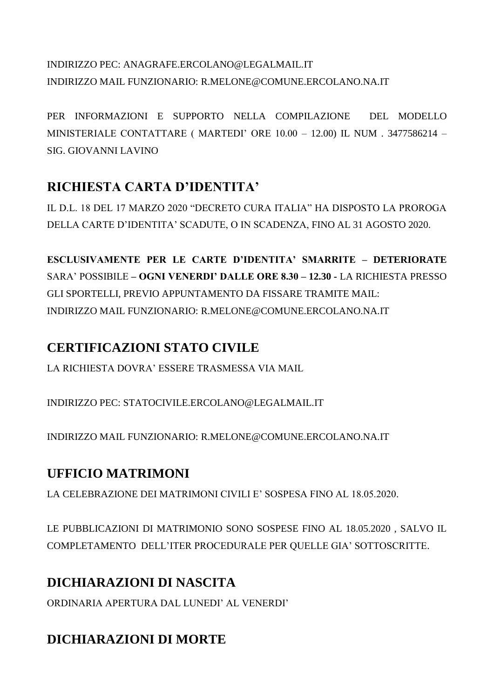#### INDIRIZZO PEC: ANAGRAFE.ERCOLANO@LEGALMAIL.IT INDIRIZZO MAIL FUNZIONARIO: R.MELONE@COMUNE.ERCOLANO.NA.IT

PER INFORMAZIONI E SUPPORTO NELLA COMPILAZIONE DEL MODELLO MINISTERIALE CONTATTARE ( MARTEDI' ORE 10.00 – 12.00) IL NUM . 3477586214 – SIG. GIOVANNI LAVINO

#### **RICHIESTA CARTA D'IDENTITA'**

IL D.L. 18 DEL 17 MARZO 2020 "DECRETO CURA ITALIA" HA DISPOSTO LA PROROGA DELLA CARTE D'IDENTITA' SCADUTE, O IN SCADENZA, FINO AL 31 AGOSTO 2020.

**ESCLUSIVAMENTE PER LE CARTE D'IDENTITA' SMARRITE – DETERIORATE**  SARA' POSSIBILE **– OGNI VENERDI' DALLE ORE 8.30 – 12.30 -** LA RICHIESTA PRESSO GLI SPORTELLI, PREVIO APPUNTAMENTO DA FISSARE TRAMITE MAIL: INDIRIZZO MAIL FUNZIONARIO: R.MELONE@COMUNE.ERCOLANO.NA.IT

#### **CERTIFICAZIONI STATO CIVILE**

LA RICHIESTA DOVRA' ESSERE TRASMESSA VIA MAIL

INDIRIZZO PEC: STATOCIVILE.ERCOLANO@LEGALMAIL.IT

INDIRIZZO MAIL FUNZIONARIO: R.MELONE@COMUNE.ERCOLANO.NA.IT

#### **UFFICIO MATRIMONI**

LA CELEBRAZIONE DEI MATRIMONI CIVILI E' SOSPESA FINO AL 18.05.2020.

LE PUBBLICAZIONI DI MATRIMONIO SONO SOSPESE FINO AL 18.05.2020 , SALVO IL COMPLETAMENTO DELL'ITER PROCEDURALE PER QUELLE GIA' SOTTOSCRITTE.

#### **DICHIARAZIONI DI NASCITA**

ORDINARIA APERTURA DAL LUNEDI' AL VENERDI'

## **DICHIARAZIONI DI MORTE**